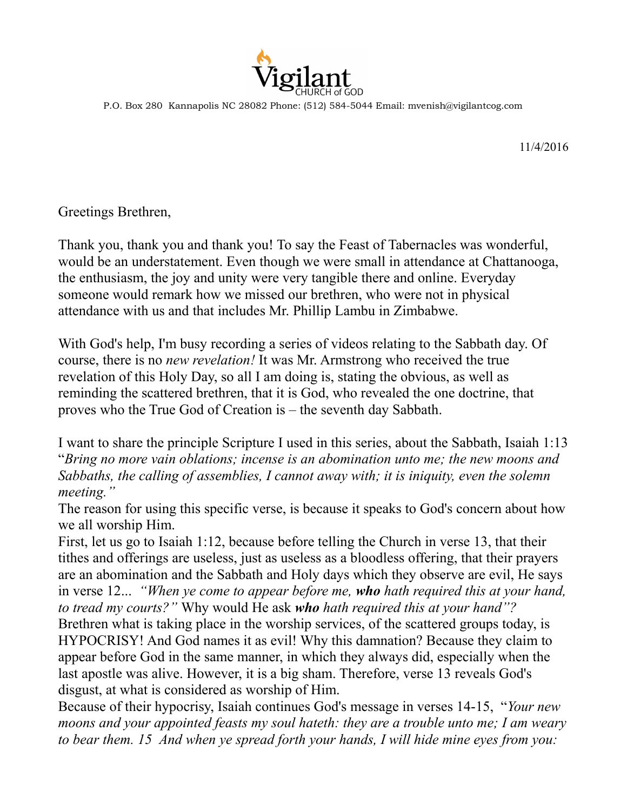

P.O. Box 280 Kannapolis NC 28082 Phone: (512) 584-5044 Email: mvenish@vigilantcog.com

11/4/2016

Greetings Brethren,

Thank you, thank you and thank you! To say the Feast of Tabernacles was wonderful, would be an understatement. Even though we were small in attendance at Chattanooga, the enthusiasm, the joy and unity were very tangible there and online. Everyday someone would remark how we missed our brethren, who were not in physical attendance with us and that includes Mr. Phillip Lambu in Zimbabwe.

With God's help, I'm busy recording a series of videos relating to the Sabbath day. Of course, there is no *new revelation!* It was Mr. Armstrong who received the true revelation of this Holy Day, so all I am doing is, stating the obvious, as well as reminding the scattered brethren, that it is God, who revealed the one doctrine, that proves who the True God of Creation is – the seventh day Sabbath.

I want to share the principle Scripture I used in this series, about the Sabbath, Isaiah 1:13 "*Bring no more vain oblations; incense is an abomination unto me; the new moons and Sabbaths, the calling of assemblies, I cannot away with; it is iniquity, even the solemn meeting."*

The reason for using this specific verse, is because it speaks to God's concern about how we all worship Him.

First, let us go to Isaiah 1:12, because before telling the Church in verse 13, that their tithes and offerings are useless, just as useless as a bloodless offering, that their prayers are an abomination and the Sabbath and Holy days which they observe are evil, He says in verse 12... *"When ye come to appear before me, who hath required this at your hand, to tread my courts?"* Why would He ask *who hath required this at your hand"?* Brethren what is taking place in the worship services, of the scattered groups today, is HYPOCRISY! And God names it as evil! Why this damnation? Because they claim to appear before God in the same manner, in which they always did, especially when the last apostle was alive. However, it is a big sham. Therefore, verse 13 reveals God's disgust, at what is considered as worship of Him.

Because of their hypocrisy, Isaiah continues God's message in verses 14-15, "*Your new moons and your appointed feasts my soul hateth: they are a trouble unto me; I am weary to bear them. 15 And when ye spread forth your hands, I will hide mine eyes from you:*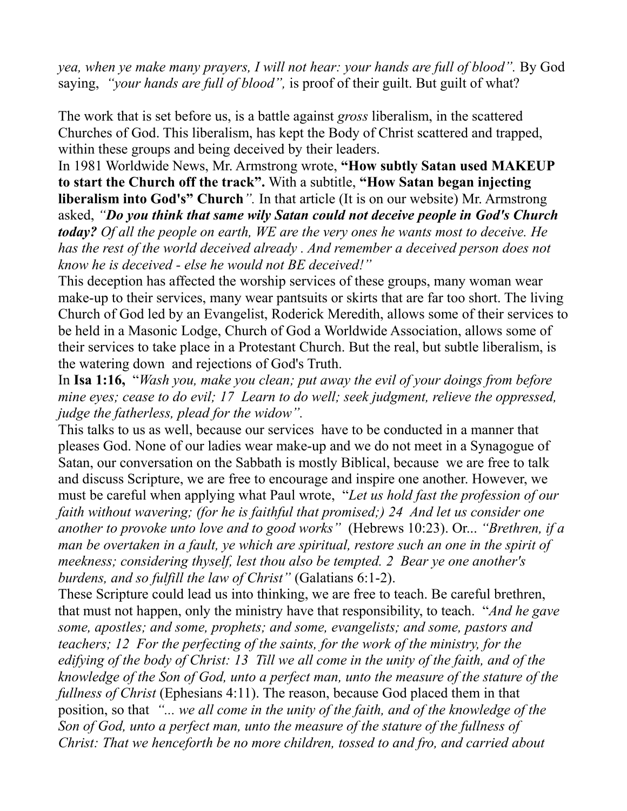*yea, when ye make many prayers, I will not hear: your hands are full of blood".* By God saying, *"your hands are full of blood",* is proof of their guilt. But guilt of what?

The work that is set before us, is a battle against *gross* liberalism, in the scattered Churches of God. This liberalism, has kept the Body of Christ scattered and trapped, within these groups and being deceived by their leaders.

In 1981 Worldwide News, Mr. Armstrong wrote, **"How subtly Satan used MAKEUP to start the Church off the track".** With a subtitle, **"How Satan began injecting liberalism into God's" Church***".* In that article (It is on our website) Mr. Armstrong asked, *"Do you think that same wily Satan could not deceive people in God's Church today? Of all the people on earth, WE are the very ones he wants most to deceive. He*  has the rest of the world deceived already. And remember a deceived person does not *know he is deceived - else he would not BE deceived!"* 

This deception has affected the worship services of these groups, many woman wear make-up to their services, many wear pantsuits or skirts that are far too short. The living Church of God led by an Evangelist, Roderick Meredith, allows some of their services to be held in a Masonic Lodge, Church of God a Worldwide Association, allows some of their services to take place in a Protestant Church. But the real, but subtle liberalism, is the watering down and rejections of God's Truth.

In **Isa 1:16,** "*Wash you, make you clean; put away the evil of your doings from before mine eyes; cease to do evil; 17 Learn to do well; seek judgment, relieve the oppressed, judge the fatherless, plead for the widow".*

This talks to us as well, because our services have to be conducted in a manner that pleases God. None of our ladies wear make-up and we do not meet in a Synagogue of Satan, our conversation on the Sabbath is mostly Biblical, because we are free to talk and discuss Scripture, we are free to encourage and inspire one another. However, we must be careful when applying what Paul wrote, "*Let us hold fast the profession of our faith without wavering; (for he is faithful that promised;) 24 And let us consider one another to provoke unto love and to good works"* (Hebrews 10:23). Or... *"Brethren, if a man be overtaken in a fault, ye which are spiritual, restore such an one in the spirit of meekness; considering thyself, lest thou also be tempted. 2 Bear ye one another's burdens, and so fulfill the law of Christ"* (Galatians 6:1-2).

These Scripture could lead us into thinking, we are free to teach. Be careful brethren, that must not happen, only the ministry have that responsibility, to teach. "*And he gave some, apostles; and some, prophets; and some, evangelists; and some, pastors and teachers; 12 For the perfecting of the saints, for the work of the ministry, for the edifying of the body of Christ: 13 Till we all come in the unity of the faith, and of the knowledge of the Son of God, unto a perfect man, unto the measure of the stature of the fullness of Christ* (Ephesians 4:11). The reason, because God placed them in that position, so that *"... we all come in the unity of the faith, and of the knowledge of the Son of God, unto a perfect man, unto the measure of the stature of the fullness of Christ: That we henceforth be no more children, tossed to and fro, and carried about*